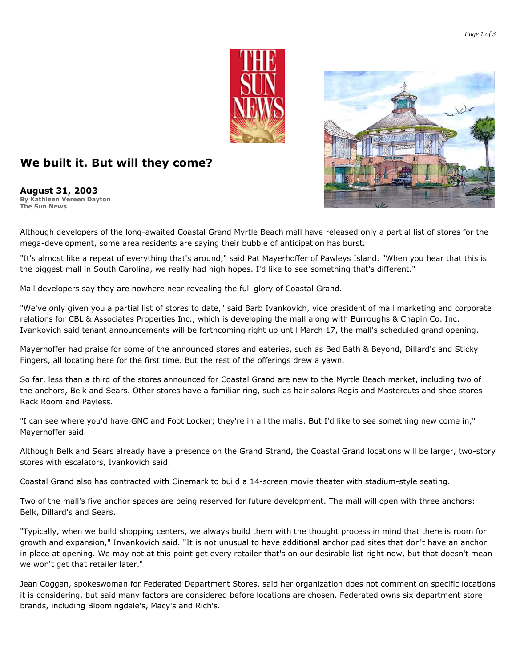

## **We built it. But will they come?**

**August 31, 2003 By Kathleen Vereen Dayton The Sun News**



Although developers of the long-awaited Coastal Grand Myrtle Beach mall have released only a partial list of stores for the mega-development, some area residents are saying their bubble of anticipation has burst.

"It's almost like a repeat of everything that's around," said Pat Mayerhoffer of Pawleys Island. "When you hear that this is the biggest mall in South Carolina, we really had high hopes. I'd like to see something that's different."

Mall developers say they are nowhere near revealing the full glory of Coastal Grand.

"We've only given you a partial list of stores to date," said Barb Ivankovich, vice president of mall marketing and corporate relations for CBL & Associates Properties Inc., which is developing the mall along with Burroughs & Chapin Co. Inc. Ivankovich said tenant announcements will be forthcoming right up until March 17, the mall's scheduled grand opening.

Mayerhoffer had praise for some of the announced stores and eateries, such as Bed Bath & Beyond, Dillard's and Sticky Fingers, all locating here for the first time. But the rest of the offerings drew a yawn.

So far, less than a third of the stores announced for Coastal Grand are new to the Myrtle Beach market, including two of the anchors, Belk and Sears. Other stores have a familiar ring, such as hair salons Regis and Mastercuts and shoe stores Rack Room and Payless.

"I can see where you'd have GNC and Foot Locker; they're in all the malls. But I'd like to see something new come in," Mayerhoffer said.

Although Belk and Sears already have a presence on the Grand Strand, the Coastal Grand locations will be larger, two-story stores with escalators, Ivankovich said.

Coastal Grand also has contracted with Cinemark to build a 14-screen movie theater with stadium-style seating.

Two of the mall's five anchor spaces are being reserved for future development. The mall will open with three anchors: Belk, Dillard's and Sears.

"Typically, when we build shopping centers, we always build them with the thought process in mind that there is room for growth and expansion," Invankovich said. "It is not unusual to have additional anchor pad sites that don't have an anchor in place at opening. We may not at this point get every retailer that's on our desirable list right now, but that doesn't mean we won't get that retailer later."

Jean Coggan, spokeswoman for Federated Department Stores, said her organization does not comment on specific locations it is considering, but said many factors are considered before locations are chosen. Federated owns six department store brands, including Bloomingdale's, Macy's and Rich's.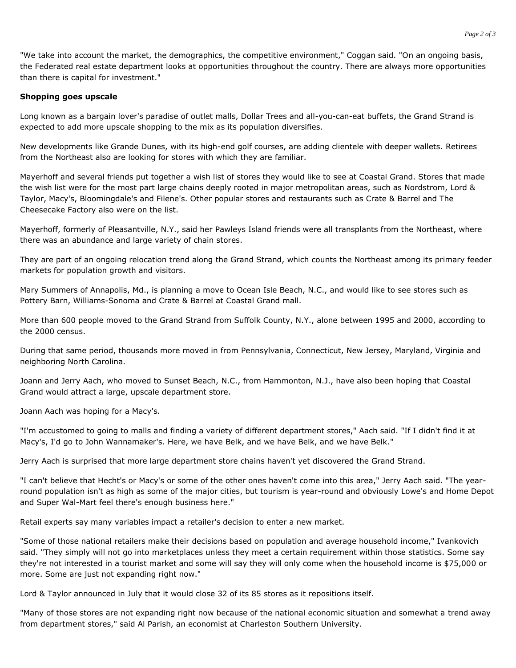"We take into account the market, the demographics, the competitive environment," Coggan said. "On an ongoing basis, the Federated real estate department looks at opportunities throughout the country. There are always more opportunities than there is capital for investment."

## **Shopping goes upscale**

Long known as a bargain lover's paradise of outlet malls, Dollar Trees and all-you-can-eat buffets, the Grand Strand is expected to add more upscale shopping to the mix as its population diversifies.

New developments like Grande Dunes, with its high-end golf courses, are adding clientele with deeper wallets. Retirees from the Northeast also are looking for stores with which they are familiar.

Mayerhoff and several friends put together a wish list of stores they would like to see at Coastal Grand. Stores that made the wish list were for the most part large chains deeply rooted in major metropolitan areas, such as Nordstrom, Lord & Taylor, Macy's, Bloomingdale's and Filene's. Other popular stores and restaurants such as Crate & Barrel and The Cheesecake Factory also were on the list.

Mayerhoff, formerly of Pleasantville, N.Y., said her Pawleys Island friends were all transplants from the Northeast, where there was an abundance and large variety of chain stores.

They are part of an ongoing relocation trend along the Grand Strand, which counts the Northeast among its primary feeder markets for population growth and visitors.

Mary Summers of Annapolis, Md., is planning a move to Ocean Isle Beach, N.C., and would like to see stores such as Pottery Barn, Williams-Sonoma and Crate & Barrel at Coastal Grand mall.

More than 600 people moved to the Grand Strand from Suffolk County, N.Y., alone between 1995 and 2000, according to the 2000 census.

During that same period, thousands more moved in from Pennsylvania, Connecticut, New Jersey, Maryland, Virginia and neighboring North Carolina.

Joann and Jerry Aach, who moved to Sunset Beach, N.C., from Hammonton, N.J., have also been hoping that Coastal Grand would attract a large, upscale department store.

Joann Aach was hoping for a Macy's.

"I'm accustomed to going to malls and finding a variety of different department stores," Aach said. "If I didn't find it at Macy's, I'd go to John Wannamaker's. Here, we have Belk, and we have Belk, and we have Belk."

Jerry Aach is surprised that more large department store chains haven't yet discovered the Grand Strand.

"I can't believe that Hecht's or Macy's or some of the other ones haven't come into this area," Jerry Aach said. "The yearround population isn't as high as some of the major cities, but tourism is year-round and obviously Lowe's and Home Depot and Super Wal-Mart feel there's enough business here."

Retail experts say many variables impact a retailer's decision to enter a new market.

"Some of those national retailers make their decisions based on population and average household income," Ivankovich said. "They simply will not go into marketplaces unless they meet a certain requirement within those statistics. Some say they're not interested in a tourist market and some will say they will only come when the household income is \$75,000 or more. Some are just not expanding right now."

Lord & Taylor announced in July that it would close 32 of its 85 stores as it repositions itself.

"Many of those stores are not expanding right now because of the national economic situation and somewhat a trend away from department stores," said Al Parish, an economist at Charleston Southern University.